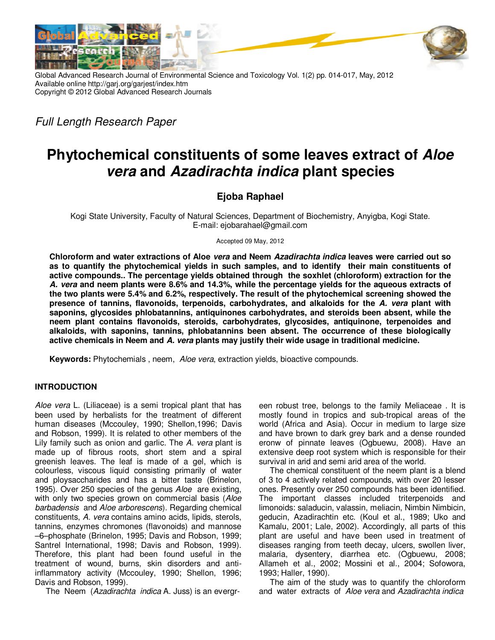

Global Advanced Research Journal of Environmental Science and Toxicology Vol. 1(2) pp. 014-017, May, 2012 Available online http://garj.org/garjest/index.htm Copyright © 2012 Global Advanced Research Journals

Full Length Research Paper

# **Phytochemical constituents of some leaves extract of Aloe vera and Azadirachta indica plant species**

# **Ejoba Raphael**

Kogi State University, Faculty of Natural Sciences, Department of Biochemistry, Anyigba, Kogi State. E-mail: ejobarahael@gmail.com

Accepted 09 May, 2012

**Chloroform and water extractions of Aloe vera and Neem Azadirachta indica leaves were carried out so as to quantify the phytochemical yields in such samples, and to identify their main constituents of active compounds.. The percentage yields obtained through the soxhlet (chloroform) extraction for the A. vera and neem plants were 8.6% and 14.3%, while the percentage yields for the aqueous extracts of the two plants were 5.4% and 6.2%, respectively. The result of the phytochemical screening showed the presence of tannins, flavonoids, terpenoids, carbohydrates, and alkaloids for the A. vera plant with saponins, glycosides phlobatannins, antiquinones carbohydrates, and steroids been absent, while the neem plant contains flavonoids, steroids, carbohydrates, glycosides, antiquinone, terpenoides and alkaloids, with saponins, tannins, phlobatannins been absent. The occurrence of these biologically active chemicals in Neem and A. vera plants may justify their wide usage in traditional medicine.** 

**Keywords:** Phytochemials , neem, Aloe vera, extraction yields, bioactive compounds.

# **INTRODUCTION**

Aloe vera L. (Liliaceae) is a semi tropical plant that has been used by herbalists for the treatment of different human diseases (Mccouley, 1990; Shellon,1996; Davis and Robson, 1999). It is related to other members of the Lily family such as onion and garlic. The A. vera plant is made up of fibrous roots, short stem and a spiral greenish leaves. The leaf is made of a gel, which is colourless, viscous liquid consisting primarily of water and ploysaccharides and has a bitter taste (Brinelon, 1995). Over 250 species of the genus Aloe are existing, with only two species grown on commercial basis (Aloe barbadensis and Aloe arborescens). Regarding chemical constituents, A. vera contains amino acids, lipids, sterols, tannins, enzymes chromones (flavonoids) and mannose –6–phosphate (Brinelon, 1995; Davis and Robson, 1999; Santrel International, 1998; Davis and Robson, 1999). Therefore, this plant had been found useful in the treatment of wound, burns, skin disorders and antiinflammatory activity (Mccouley, 1990; Shellon, 1996; Davis and Robson, 1999).

The Neem (Azadirachta indica A. Juss) is an evergr-

een robust tree, belongs to the family Meliaceae . It is mostly found in tropics and sub-tropical areas of the world (Africa and Asia). Occur in medium to large size and have brown to dark grey bark and a dense rounded eronw of pinnate leaves (Ogbuewu, 2008). Have an extensive deep root system which is responsible for their survival in arid and semi arid area of the world.

The chemical constituent of the neem plant is a blend of 3 to 4 actively related compounds, with over 20 lesser ones. Presently over 250 compounds has been identified. The important classes included triterpenoids and limonoids: saladucin, valassin, meliacin, Nimbin Nimbicin, geducin, Azadirachtin etc. (Koul et al., 1989; Uko and Kamalu, 2001; Lale, 2002). Accordingly, all parts of this plant are useful and have been used in treatment of diseases ranging from teeth decay, ulcers, swollen liver, malaria, dysentery, diarrhea etc. (Ogbuewu, 2008; Allameh et al., 2002; Mossini et al., 2004; Sofowora, 1993; Haller, 1990).

The aim of the study was to quantify the chloroform and water extracts of Aloe vera and Azadirachta indica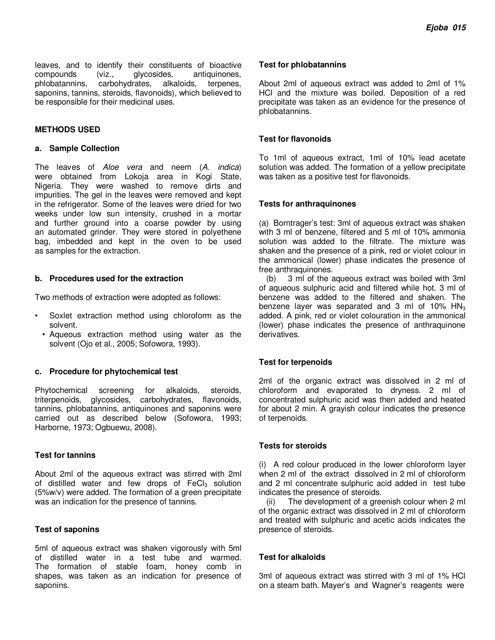leaves, and to identify their constituents of bioactive compounds (viz., glycosides, antiquinones,<br>phlobatannins, carbohydrates, alkaloids, terpenes, carbohydrates, alkaloids, terpenes, saponins, tannins, steroids, flavonoids), which believed to be responsible for their medicinal uses.

### **METHODS USED**

#### **a. Sample Collection**

The leaves of Aloe vera and neem (A. indica) were obtained from Lokoja area in Kogi State, Nigeria. They were washed to remove dirts and impurities. The gel in the leaves were removed and kept in the refrigerator. Some of the leaves were dried for two weeks under low sun intensity, crushed in a mortar and further ground into a coarse powder by using an automated grinder. They were stored in polyethene bag, imbedded and kept in the oven to be used as samples for the extraction.

#### **b. Procedures used for the extraction**

Two methods of extraction were adopted as follows:

- Soxlet extraction method using chloroform as the solvent.
- Aqueous extraction method using water as the solvent (Ojo et al., 2005; Sofowora, 1993).

#### **c. Procedure for phytochemical test**

Phytochemical screening for alkaloids, steroids, triterpenoids, glycosides, carbohydrates, flavonoids, tannins, phlobatannins, antiquinones and saponins were carried out as described below (Sofowora, 1993; Harborne, 1973; Ogbuewu, 2008).

#### **Test for tannins**

About 2ml of the aqueous extract was stirred with 2ml of distilled water and few drops of  $FeCl<sub>3</sub>$  solution (5%w/v) were added. The formation of a green precipitate was an indication for the presence of tannins.

#### **Test of saponins**

5ml of aqueous extract was shaken vigorously with 5ml of distilled water in a test tube and warmed. The formation of stable foam, honey comb in shapes, was taken as an indication for presence of saponins.

### **Test for phlobatannins**

About 2ml of aqueous extract was added to 2ml of 1% HCl and the mixture was boiled. Deposition of a red precipitate was taken as an evidence for the presence of phlobatannins.

## **Test for flavonoids**

To 1ml of aqueous extract, 1ml of 10% lead acetate solution was added. The formation of a yellow precipitate was taken as a positive test for flavonoids.

### **Tests for anthraquinones**

(a) Borntrager's test: 3ml of aqueous extract was shaken with 3 ml of benzene, filtered and 5 ml of 10% ammonia solution was added to the filtrate. The mixture was shaken and the presence of a pink, red or violet colour in the ammonical (lower) phase indicates the presence of free anthraquinones.

(b) 3 ml of the aqueous extract was boiled with 3ml of aqueous sulphuric acid and filtered while hot. 3 ml of benzene was added to the filtered and shaken. The benzene layer was separated and 3 ml of 10%  $HN<sub>3</sub>$ added. A pink, red or violet colouration in the ammonical (lower) phase indicates the presence of anthraquinone derivatives.

# **Test for terpenoids**

2ml of the organic extract was dissolved in 2 ml of chloroform and evaporated to dryness. 2 ml of concentrated sulphuric acid was then added and heated for about 2 min. A grayish colour indicates the presence of terpenoids.

#### **Tests for steroids**

(i) A red colour produced in the lower chloroform layer when 2 ml of the extract dissolved in 2 ml of chloroform and 2 ml concentrate sulphuric acid added in test tube indicates the presence of steroids.

(ii) The development of a greenish colour when 2 ml of the organic extract was dissolved in 2 ml of chloroform and treated with sulphuric and acetic acids indicates the presence of steroids.

#### **Test for alkaloids**

3ml of aqueous extract was stirred with 3 ml of 1% HCl on a steam bath. Mayer's and Wagner's reagents were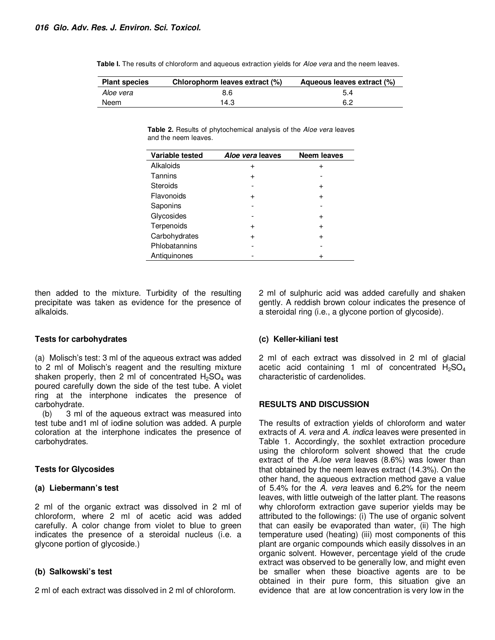**Table I.** The results of chloroform and aqueous extraction yields for *Aloe vera* and the neem leaves.

| <b>Plant species</b> | Chlorophorm leaves extract (%) | Aqueous leaves extract (%) |
|----------------------|--------------------------------|----------------------------|
| Aloe vera            | 8.6                            | 5.4                        |
| Neem                 | 14.3                           | 6.2                        |

**Table 2.** Results of phytochemical analysis of the Aloe vera leaves and the neem leaves.

| Variable tested | Aloe vera leaves | <b>Neem leaves</b> |
|-----------------|------------------|--------------------|
| Alkaloids       | +                | +                  |
| Tannins         | +                |                    |
| Steroids        |                  | $\ddot{}$          |
| Flavonoids      | +                | $\div$             |
| Saponins        |                  |                    |
| Glycosides      |                  | $\pm$              |
| Terpenoids      | +                | +                  |
| Carbohydrates   | $\ddot{}$        | ÷                  |
| Phlobatannins   |                  |                    |
| Antiquinones    |                  |                    |

then added to the mixture. Turbidity of the resulting precipitate was taken as evidence for the presence of alkaloids.

#### **Tests for carbohydrates**

(a) Molisch's test: 3 ml of the aqueous extract was added to 2 ml of Molisch's reagent and the resulting mixture shaken properly, then 2 ml of concentrated  $H_2SO_4$  was poured carefully down the side of the test tube. A violet ring at the interphone indicates the presence of carbohydrate.

(b) 3 ml of the aqueous extract was measured into test tube and1 ml of iodine solution was added. A purple coloration at the interphone indicates the presence of carbohydrates.

#### **Tests for Glycosides**

#### **(a) Liebermann's test**

2 ml of the organic extract was dissolved in 2 ml of chloroform, where 2 ml of acetic acid was added carefully. A color change from violet to blue to green indicates the presence of a steroidal nucleus (i.e. a glycone portion of glycoside.)

#### **(b) Salkowski's test**

2 ml of each extract was dissolved in 2 ml of chloroform.

2 ml of sulphuric acid was added carefully and shaken gently. A reddish brown colour indicates the presence of a steroidal ring (i.e., a glycone portion of glycoside).

#### **(c) Keller-kiliani test**

2 ml of each extract was dissolved in 2 ml of glacial acetic acid containing 1 ml of concentrated  $H_2SO_4$ characteristic of cardenolides.

#### **RESULTS AND DISCUSSION**

The results of extraction yields of chloroform and water extracts of A. vera and A. indica leaves were presented in Table 1. Accordingly, the soxhlet extraction procedure using the chloroform solvent showed that the crude extract of the A.loe vera leaves (8.6%) was lower than that obtained by the neem leaves extract (14.3%). On the other hand, the aqueous extraction method gave a value of 5.4% for the A. vera leaves and 6.2% for the neem leaves, with little outweigh of the latter plant. The reasons why chloroform extraction gave superior yields may be attributed to the followings: (i) The use of organic solvent that can easily be evaporated than water, (ii) The high temperature used (heating) (iii) most components of this plant are organic compounds which easily dissolves in an organic solvent. However, percentage yield of the crude extract was observed to be generally low, and might even be smaller when these bioactive agents are to be obtained in their pure form, this situation give an evidence that are at low concentration is very low in the